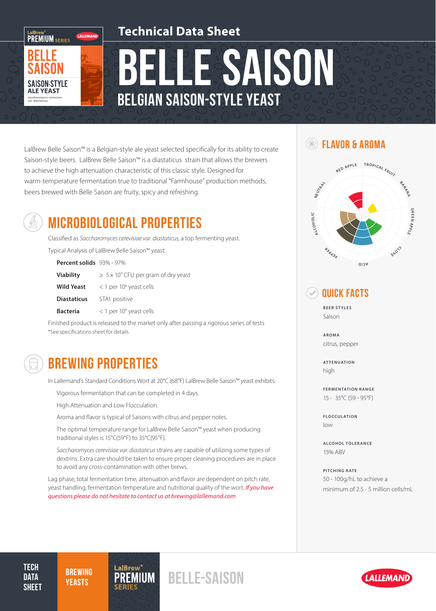

# BELLE SAISON Belgian Saison-Style Yeast

LalBrew Belle Saison™ is a Belgian-style ale yeast selected specifically for its ability to create Saison-style beers. LalBrew Belle Saison™ is a diastaticus strain that allows the brewers to achieve the high attenuation characteristic of this classic style. Designed for warm-temperature fermentation true to traditional "Farmhouse" production methods, beers brewed with Belle Saison are fruity, spicy and refreshing.



# MICROBIOLOGICAL PROPERTIES

LALLEMAND

**PREMIUM** SERIES

**SAISON STYLE ALE YEAST** 

> Classified as *Saccharomyces cerevisiae var. diastaticus*, a top fermenting yeast. Typical Analysis of LalBrew Belle Saison™ yeast:

| Percent solids 93% - 97% |                                                      |
|--------------------------|------------------------------------------------------|
| <b>Viability</b>         | $\geq$ 5 x 10 <sup>9</sup> CFU per gram of dry yeast |
| <b>Wild Yeast</b>        | $<$ 1 per 10 <sup>6</sup> yeast cells                |
| <b>Diastaticus</b>       | STA1 positive                                        |
| <b>Bacteria</b>          | $<$ 1 per 10 <sup>6</sup> yeast cells                |

Finished product is released to the market only after passing a rigorous series of tests \*See specifications sheet for details



## BREWING PROPERTIES

In Lallemand's Standard Conditions Wort at 20°C (68°F) LalBrew Belle Saison™ yeast exhibits:

Vigorous fermentation that can be completed in 4 days.

High Attenuation and Low Flocculation.

Aroma and flavor is typical of Saisons with citrus and pepper notes.

The optimal temperature range for LalBrew Belle Saison™ yeast when producing traditional styles is 15°C(59°F) to 35°C(95°F).

*Saccharomyces cerevisiae var. diastaticus* strains are capable of utilizing some types of dextrins. Extra care should be taken to ensure proper cleaning procedures are in place to avoid any cross-contamination with other brews.

Lag phase, total fermentation time, attenuation and flavor are dependent on pitch rate, yeast handling, fermentation temperature and nutritional quality of the wort. *If you have questions please do not hesitate to contact us at brewing@lallemand.com*

### Flavor & Aroma



### Quick Facts

**BEER STYLES** Saison

**AROMA** citrus, pepper

**ATTENUATION** high

**FERMENTATION RANGE** 15 - 35°C (59 - 95°F)

**FLOCCULATION** low

**ALCOHOL TOLERANCE** 15% ABV

**PITCHING RATE** 50 - 100g/hL to achieve a minimum of 2.5 - 5 million cells/mL

**TECH DATA SHEET** 

**BREWING** 



BREWING PREMIUM BELLE-SAISON